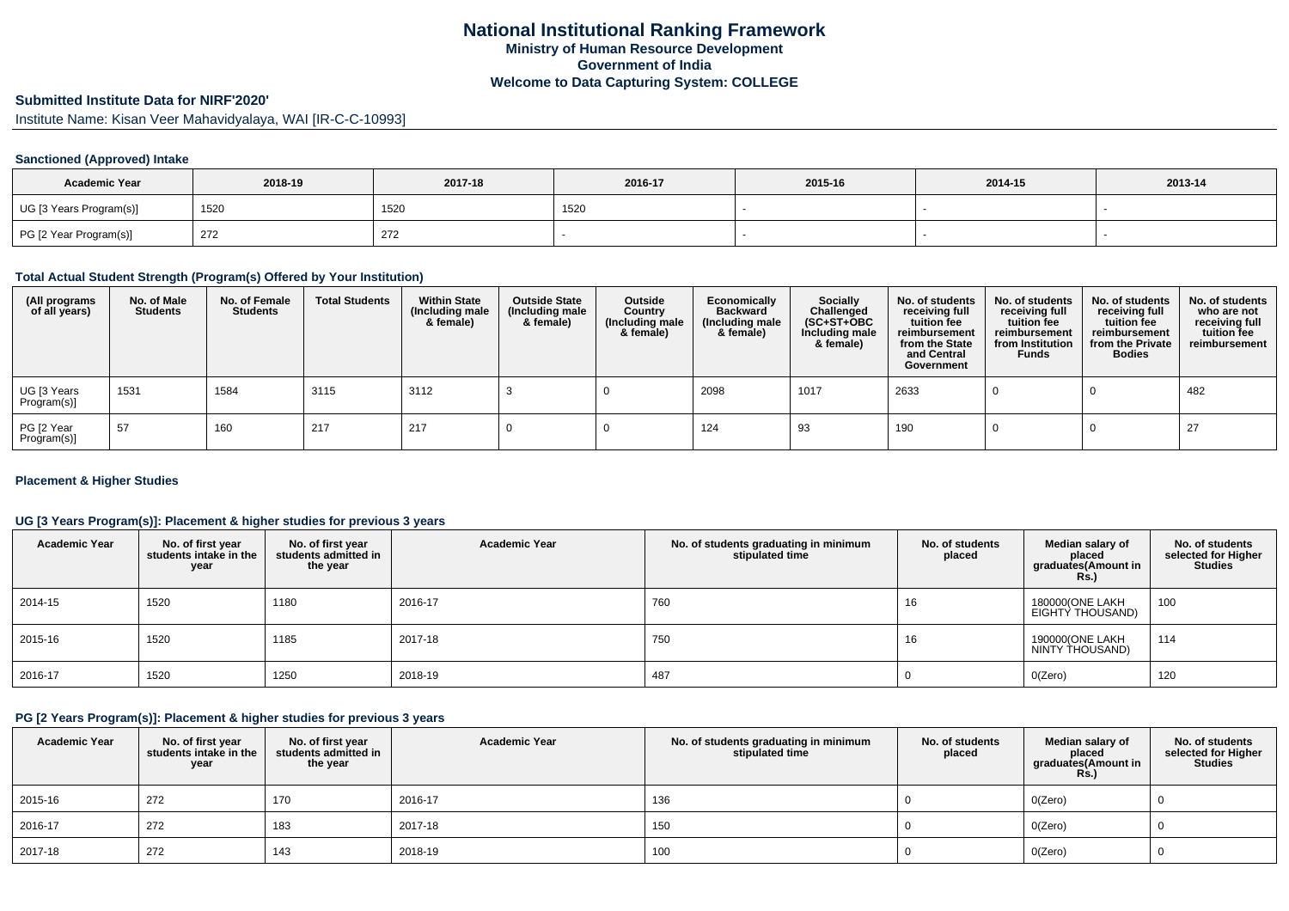# **Submitted Institute Data for NIRF'2020'**

Institute Name: Kisan Veer Mahavidyalaya, WAI [IR-C-C-10993]

### **Sanctioned (Approved) Intake**

| <b>Academic Year</b>    | 2018-19 | 2017-18 | 2016-17 | 2015-16 | 2014-15 | 2013-14 |
|-------------------------|---------|---------|---------|---------|---------|---------|
| UG [3 Years Program(s)] | 1520    | 1520    | 1520    |         |         |         |
| PG [2 Year Program(s)]  | 272     | 272     |         |         |         |         |

#### **Total Actual Student Strength (Program(s) Offered by Your Institution)**

| (All programs<br>of all years) | No. of Male<br><b>Students</b> | No. of Female<br><b>Students</b> | <b>Total Students</b> | <b>Within State</b><br>(Including male<br>& female) | <b>Outside State</b><br>(Including male<br>& female) | Outside<br>Country<br>(Including male<br>& female) | Economically<br><b>Backward</b><br>(Including male<br>& female) | <b>Socially</b><br>Challenged<br>$(SC+ST+OBC)$<br>Including male<br>& female) | No. of students<br>receiving full<br>tuition fee<br>reimbursement<br>from the State<br>and Central<br>Government | No. of students<br>receiving full<br>tuition fee<br>reimbursement<br>from Institution<br><b>Funds</b> | No. of students<br>receiving full<br>tuition fee<br>reimbursement<br>from the Private<br><b>Bodies</b> | No. of students<br>who are not<br>receiving full<br>tuition fee<br>reimbursement |
|--------------------------------|--------------------------------|----------------------------------|-----------------------|-----------------------------------------------------|------------------------------------------------------|----------------------------------------------------|-----------------------------------------------------------------|-------------------------------------------------------------------------------|------------------------------------------------------------------------------------------------------------------|-------------------------------------------------------------------------------------------------------|--------------------------------------------------------------------------------------------------------|----------------------------------------------------------------------------------|
| UG [3 Years<br>Program(s)]     | 1531                           | 1584                             | 3115                  | 3112                                                |                                                      |                                                    | 2098                                                            | 1017                                                                          | 2633                                                                                                             |                                                                                                       |                                                                                                        | 482                                                                              |
| PG [2 Year<br>Program(s)]      | 57                             | 160                              | 217                   | 217                                                 |                                                      |                                                    | 124                                                             | 93                                                                            | 190                                                                                                              |                                                                                                       |                                                                                                        | 27                                                                               |

#### **Placement & Higher Studies**

# **UG [3 Years Program(s)]: Placement & higher studies for previous 3 years**

| <b>Academic Year</b> | No. of first year<br>students intake in the<br>year | No. of first year<br>students admitted in<br>the year | <b>Academic Year</b> | No. of students graduating in minimum<br>stipulated time | No. of students<br>placed | Median salary of<br>placed<br>graduates(Amount in<br>Rs. | No. of students<br>selected for Higher<br><b>Studies</b> |
|----------------------|-----------------------------------------------------|-------------------------------------------------------|----------------------|----------------------------------------------------------|---------------------------|----------------------------------------------------------|----------------------------------------------------------|
| 2014-15              | 1520                                                | 1180                                                  | 2016-17              | 760                                                      | 16                        | 180000(ONE LAKH<br>EIGHTY THOUSAND)                      | 100                                                      |
| 2015-16              | 1520                                                | 1185                                                  | 2017-18              | 750                                                      | 16                        | 190000(ONE LAKH<br>NINTY THOUSAND)                       | 114                                                      |
| 2016-17              | 1520                                                | 1250                                                  | 2018-19              | 487                                                      |                           | O(Zero)                                                  | 120                                                      |

# **PG [2 Years Program(s)]: Placement & higher studies for previous 3 years**

| <b>Academic Year</b> | No. of first year<br>students intake in the<br>year | No. of first year<br>students admitted in<br>the year | <b>Academic Year</b> | No. of students graduating in minimum<br>stipulated time | No. of students<br>placed | Median salarv of<br>placed<br>graduates(Amount in<br><b>Rs.)</b> | No. of students<br>selected for Higher<br>Studies |
|----------------------|-----------------------------------------------------|-------------------------------------------------------|----------------------|----------------------------------------------------------|---------------------------|------------------------------------------------------------------|---------------------------------------------------|
| 2015-16              | 272                                                 | 170                                                   | 2016-17              | 136                                                      |                           | O(Zero)                                                          |                                                   |
| 2016-17              | 272                                                 | 183                                                   | 2017-18              | 150                                                      |                           | O(Zero)                                                          |                                                   |
| 2017-18              | 272                                                 | 143                                                   | 2018-19              | 100                                                      |                           | O(Zero)                                                          |                                                   |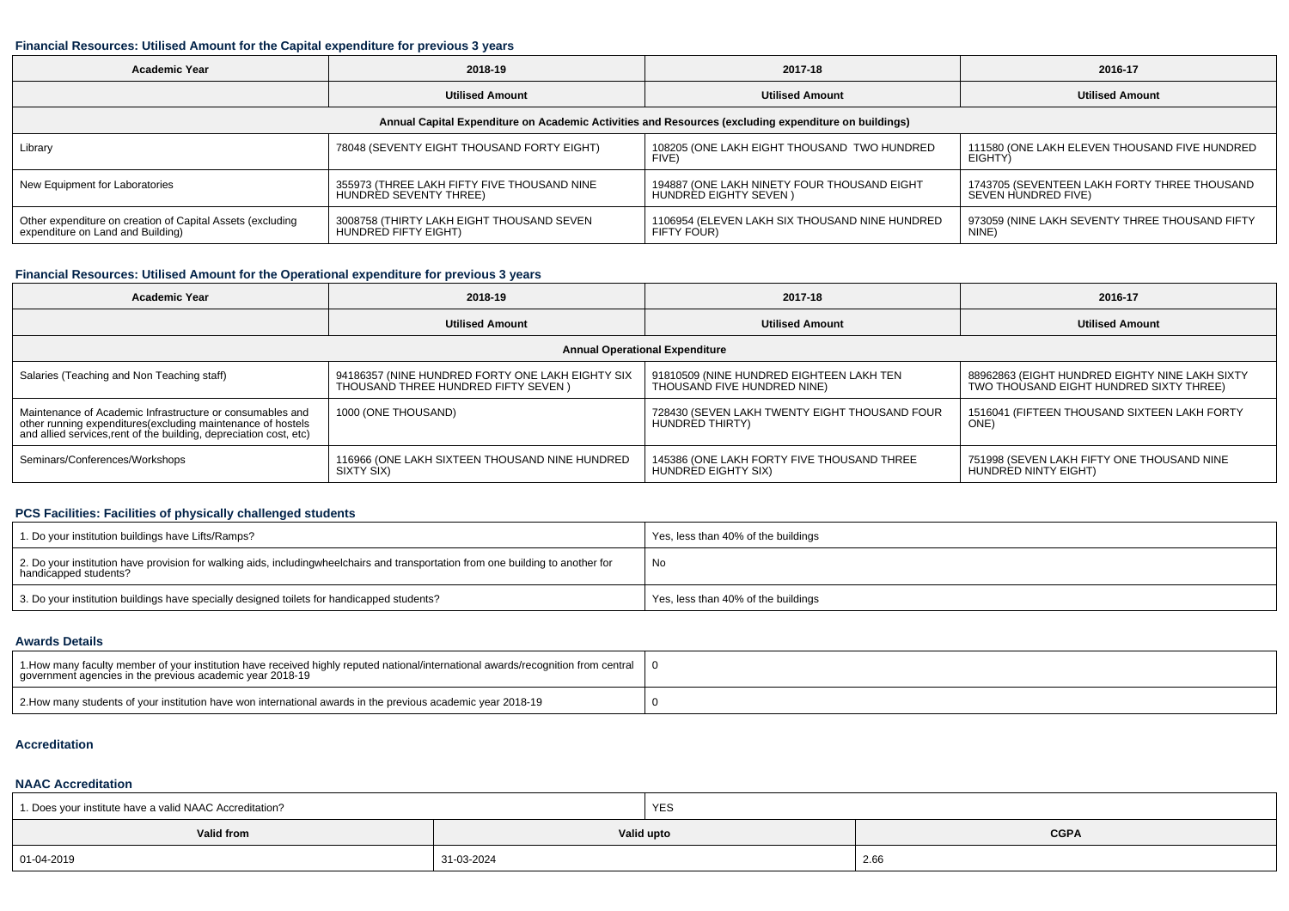#### **Financial Resources: Utilised Amount for the Capital expenditure for previous 3 years**

| <b>Academic Year</b>                                                                                 | 2018-19                                                               |                                                                             | 2016-17                                                             |  |  |  |  |  |  |
|------------------------------------------------------------------------------------------------------|-----------------------------------------------------------------------|-----------------------------------------------------------------------------|---------------------------------------------------------------------|--|--|--|--|--|--|
|                                                                                                      | <b>Utilised Amount</b>                                                | <b>Utilised Amount</b>                                                      | <b>Utilised Amount</b>                                              |  |  |  |  |  |  |
| Annual Capital Expenditure on Academic Activities and Resources (excluding expenditure on buildings) |                                                                       |                                                                             |                                                                     |  |  |  |  |  |  |
| Library                                                                                              | 78048 (SEVENTY EIGHT THOUSAND FORTY EIGHT)                            | 108205 (ONE LAKH EIGHT THOUSAND TWO HUNDRED<br>FIVE)                        | 111580 (ONE LAKH ELEVEN THOUSAND FIVE HUNDRED<br>EIGHTY)            |  |  |  |  |  |  |
| New Equipment for Laboratories                                                                       | 355973 (THREE LAKH FIFTY FIVE THOUSAND NINE<br>HUNDRED SEVENTY THREE) | 194887 (ONE LAKH NINETY FOUR THOUSAND EIGHT<br><b>HUNDRED EIGHTY SEVEN)</b> | 1743705 (SEVENTEEN LAKH FORTY THREE THOUSAND<br>SEVEN HUNDRED FIVE) |  |  |  |  |  |  |
| Other expenditure on creation of Capital Assets (excluding<br>expenditure on Land and Building)      | 3008758 (THIRTY LAKH EIGHT THOUSAND SEVEN<br>HUNDRED FIFTY EIGHT)     | 1106954 (ELEVEN LAKH SIX THOUSAND NINE HUNDRED<br>FIFTY FOUR)               | 973059 (NINE LAKH SEVENTY THREE THOUSAND FIFTY<br>NINE)             |  |  |  |  |  |  |

# **Financial Resources: Utilised Amount for the Operational expenditure for previous 3 years**

| <b>Academic Year</b>                                                                                                                                                                           | 2018-19                                                                                  | 2017-18                                                                 | 2016-17                                                                                   |  |  |  |  |  |  |
|------------------------------------------------------------------------------------------------------------------------------------------------------------------------------------------------|------------------------------------------------------------------------------------------|-------------------------------------------------------------------------|-------------------------------------------------------------------------------------------|--|--|--|--|--|--|
|                                                                                                                                                                                                | <b>Utilised Amount</b>                                                                   |                                                                         | <b>Utilised Amount</b>                                                                    |  |  |  |  |  |  |
| <b>Annual Operational Expenditure</b>                                                                                                                                                          |                                                                                          |                                                                         |                                                                                           |  |  |  |  |  |  |
| Salaries (Teaching and Non Teaching staff)                                                                                                                                                     | 94186357 (NINE HUNDRED FORTY ONE LAKH EIGHTY SIX<br>THOUSAND THREE HUNDRED FIFTY SEVEN ) | 91810509 (NINE HUNDRED EIGHTEEN LAKH TEN<br>THOUSAND FIVE HUNDRED NINE) | 88962863 (EIGHT HUNDRED EIGHTY NINE LAKH SIXTY<br>TWO THOUSAND EIGHT HUNDRED SIXTY THREE) |  |  |  |  |  |  |
| Maintenance of Academic Infrastructure or consumables and<br>other running expenditures(excluding maintenance of hostels<br>and allied services, rent of the building, depreciation cost, etc) | 1000 (ONE THOUSAND)                                                                      | 728430 (SEVEN LAKH TWENTY EIGHT THOUSAND FOUR<br>HUNDRED THIRTY)        | 1516041 (FIFTEEN THOUSAND SIXTEEN LAKH FORTY<br>ONE)                                      |  |  |  |  |  |  |
| Seminars/Conferences/Workshops                                                                                                                                                                 | 116966 (ONE LAKH SIXTEEN THOUSAND NINE HUNDRED<br>SIXTY SIX)                             | 145386 (ONE LAKH FORTY FIVE THOUSAND THREE<br>HUNDRED EIGHTY SIX)       | 751998 (SEVEN LAKH FIFTY ONE THOUSAND NINE<br>HUNDRED NINTY EIGHT)                        |  |  |  |  |  |  |

# **PCS Facilities: Facilities of physically challenged students**

| 1. Do your institution buildings have Lifts/Ramps?                                                                                                        | Yes, less than 40% of the buildings |
|-----------------------------------------------------------------------------------------------------------------------------------------------------------|-------------------------------------|
| 2. Do your institution have provision for walking aids, includingwheelchairs and transportation from one building to another for<br>handicapped students? | No                                  |
| 3. Do your institution buildings have specially designed toilets for handicapped students?                                                                | Yes, less than 40% of the buildings |

#### **Awards Details**

| 1. How many faculty member of your institution have received highly reputed national/international awards/recognition from central<br>government agencies in the previous academic year 2018-19 |  |
|-------------------------------------------------------------------------------------------------------------------------------------------------------------------------------------------------|--|
| 2. How many students of your institution have won international awards in the previous academic year 2018-19                                                                                    |  |

#### **Accreditation**

# **NAAC Accreditation**

| 1. Does your institute have a valid NAAC Accreditation? |            | <b>YES</b> |             |
|---------------------------------------------------------|------------|------------|-------------|
| Valid from                                              |            | Valid upto | <b>CGPA</b> |
| 01-04-2019                                              | 31-03-2024 |            | 2.66        |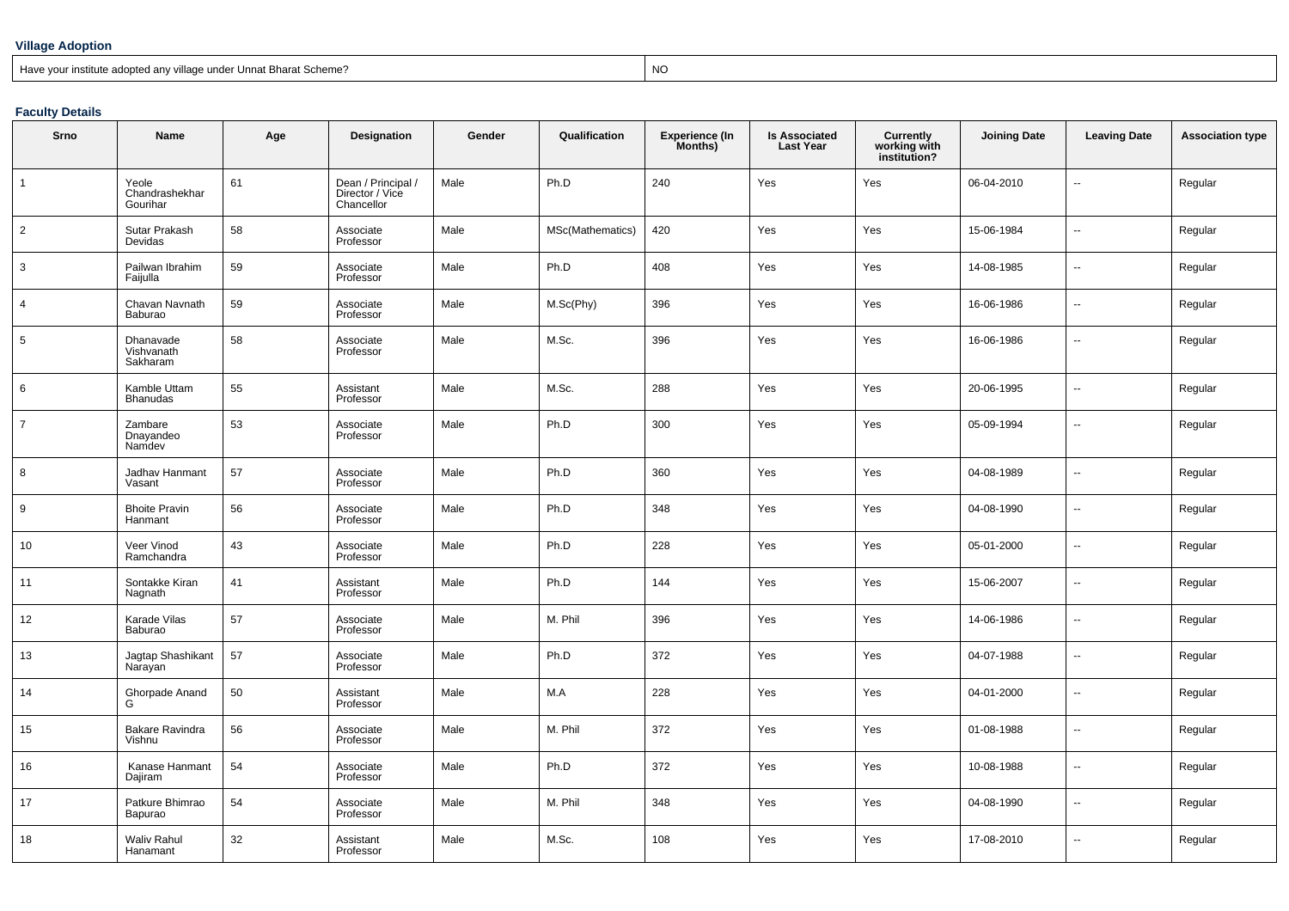#### **Village Adoption**

#### Have your institute adopted any village under Unnat Bharat Scheme?

? NO

#### **Faculty Details**

| Srno           | Name                                | Age | Designation                                         | Gender | Qualification    | Experience (In<br>Months) | <b>Is Associated</b><br><b>Last Year</b> | Currently<br>working with<br>institution? | <b>Joining Date</b> | <b>Leaving Date</b>      | <b>Association type</b> |
|----------------|-------------------------------------|-----|-----------------------------------------------------|--------|------------------|---------------------------|------------------------------------------|-------------------------------------------|---------------------|--------------------------|-------------------------|
| $\mathbf{1}$   | Yeole<br>Chandrashekhar<br>Gourihar | 61  | Dean / Principal /<br>Director / Vice<br>Chancellor | Male   | Ph.D             | 240                       | Yes                                      | Yes                                       | 06-04-2010          | $\sim$                   | Regular                 |
| $\overline{2}$ | Sutar Prakash<br>Devidas            | 58  | Associate<br>Professor                              | Male   | MSc(Mathematics) | 420                       | Yes                                      | Yes                                       | 15-06-1984          | $\overline{\phantom{a}}$ | Regular                 |
| 3              | Pailwan Ibrahim<br>Faijulla         | 59  | Associate<br>Professor                              | Male   | Ph.D             | 408                       | Yes                                      | Yes                                       | 14-08-1985          | $\overline{\phantom{a}}$ | Regular                 |
| 4              | Chavan Navnath<br>Baburao           | 59  | Associate<br>Professor                              | Male   | M.Sc(Phy)        | 396                       | Yes                                      | Yes                                       | 16-06-1986          | $\ddotsc$                | Regular                 |
| 5              | Dhanavade<br>Vishvanath<br>Sakharam | 58  | Associate<br>Professor                              | Male   | M.Sc.            | 396                       | Yes                                      | Yes                                       | 16-06-1986          | ۰.                       | Regular                 |
| 6              | Kamble Uttam<br><b>Bhanudas</b>     | 55  | Assistant<br>Professor                              | Male   | M.Sc.            | 288                       | Yes                                      | Yes                                       | 20-06-1995          | ÷.                       | Regular                 |
| $\overline{7}$ | Zambare<br>Dnayandeo<br>Namdev      | 53  | Associate<br>Professor                              | Male   | Ph.D             | 300                       | Yes                                      | Yes                                       | 05-09-1994          | $\overline{\phantom{a}}$ | Regular                 |
| 8              | Jadhav Hanmant<br>Vasant            | 57  | Associate<br>Professor                              | Male   | Ph.D             | 360                       | Yes                                      | Yes                                       | 04-08-1989          |                          | Regular                 |
| 9              | <b>Bhoite Pravin</b><br>Hanmant     | 56  | Associate<br>Professor                              | Male   | Ph.D             | 348                       | Yes                                      | Yes                                       | 04-08-1990          | $\ddotsc$                | Regular                 |
| 10             | Veer Vinod<br>Ramchandra            | 43  | Associate<br>Professor                              | Male   | Ph.D             | 228                       | Yes                                      | Yes                                       | 05-01-2000          | $\overline{\phantom{a}}$ | Regular                 |
| 11             | Sontakke Kiran<br>Nagnath           | 41  | Assistant<br>Professor                              | Male   | Ph.D             | 144                       | Yes                                      | Yes                                       | 15-06-2007          | н.                       | Regular                 |
| 12             | Karade Vilas<br>Baburao             | 57  | Associate<br>Professor                              | Male   | M. Phil          | 396                       | Yes                                      | Yes                                       | 14-06-1986          | $\ddotsc$                | Regular                 |
| 13             | Jagtap Shashikant<br>Narayan        | 57  | Associate<br>Professor                              | Male   | Ph.D             | 372                       | Yes                                      | Yes                                       | 04-07-1988          | $\overline{a}$           | Regular                 |
| 14             | Ghorpade Anand<br>G                 | 50  | Assistant<br>Professor                              | Male   | M.A              | 228                       | Yes                                      | Yes                                       | 04-01-2000          | н.                       | Regular                 |
| 15             | Bakare Ravindra<br>Vishnu           | 56  | Associate<br>Professor                              | Male   | M. Phil          | 372                       | Yes                                      | Yes                                       | 01-08-1988          | н.                       | Regular                 |
| 16             | Kanase Hanmant<br>Dajiram           | 54  | Associate<br>Professor                              | Male   | Ph.D             | 372                       | Yes                                      | Yes                                       | 10-08-1988          | $\overline{\phantom{a}}$ | Regular                 |
| 17             | Patkure Bhimrao<br>Bapurao          | 54  | Associate<br>Professor                              | Male   | M. Phil          | 348                       | Yes                                      | Yes                                       | 04-08-1990          | ۰.                       | Regular                 |
| 18             | Waliv Rahul<br>Hanamant             | 32  | Assistant<br>Professor                              | Male   | M.Sc.            | 108                       | Yes                                      | Yes                                       | 17-08-2010          | $\overline{\phantom{a}}$ | Regular                 |